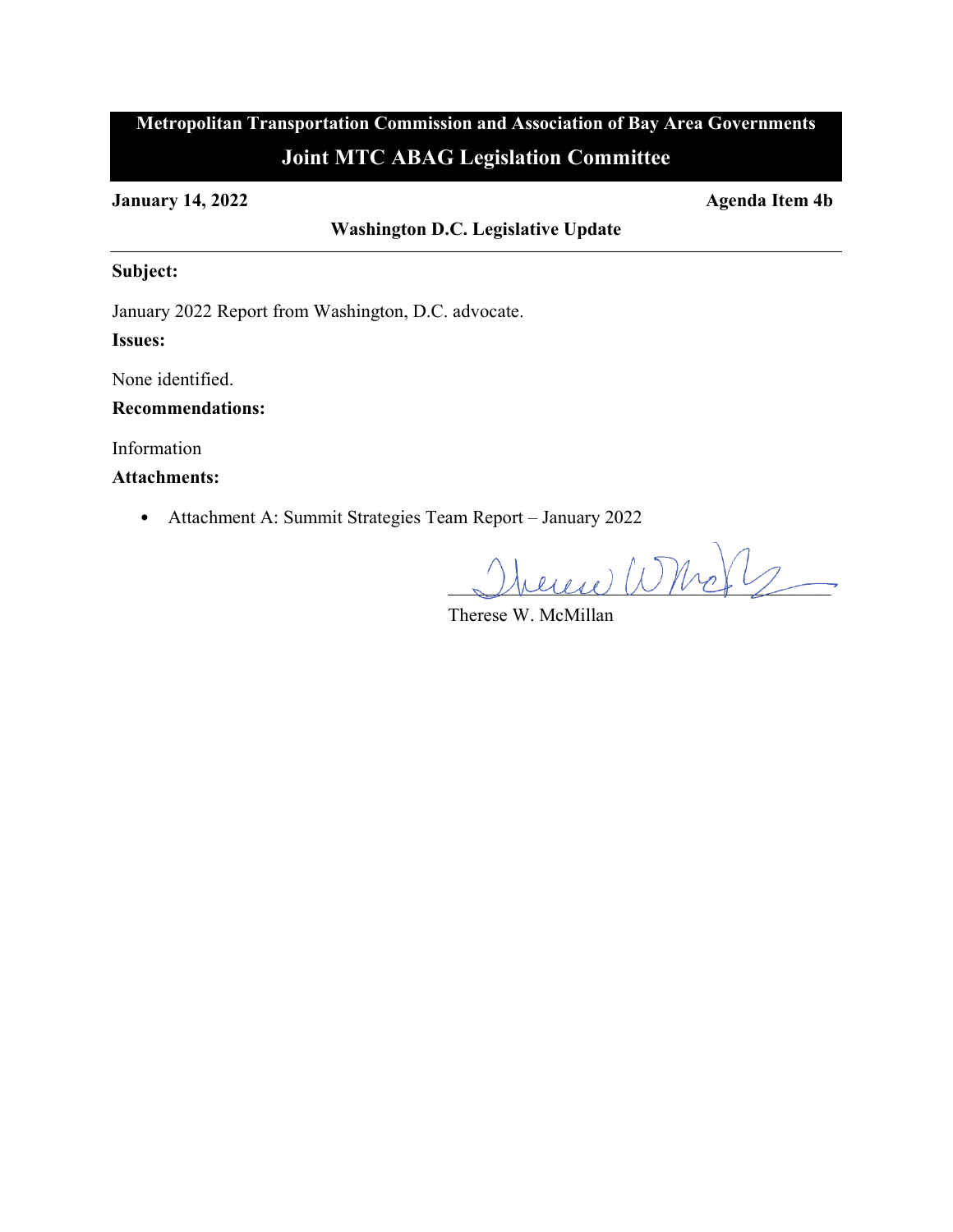# **Metropolitan Transportation Commission and Association of Bay Area Governments Joint MTC ABAG Legislation Committee**

**January 14, 2022 Agenda Item 4b**

**Washington D.C. Legislative Update**

## **Subject:**

January 2022 Report from Washington, D.C. advocate.

## **Issues:**

None identified.

## **Recommendations:**

Information

## **Attachments:**

• Attachment A: Summit Strategies Team Report – January 2022

 $\mathcal{D}$ bereich What  $\nu$ 

Therese W. McMillan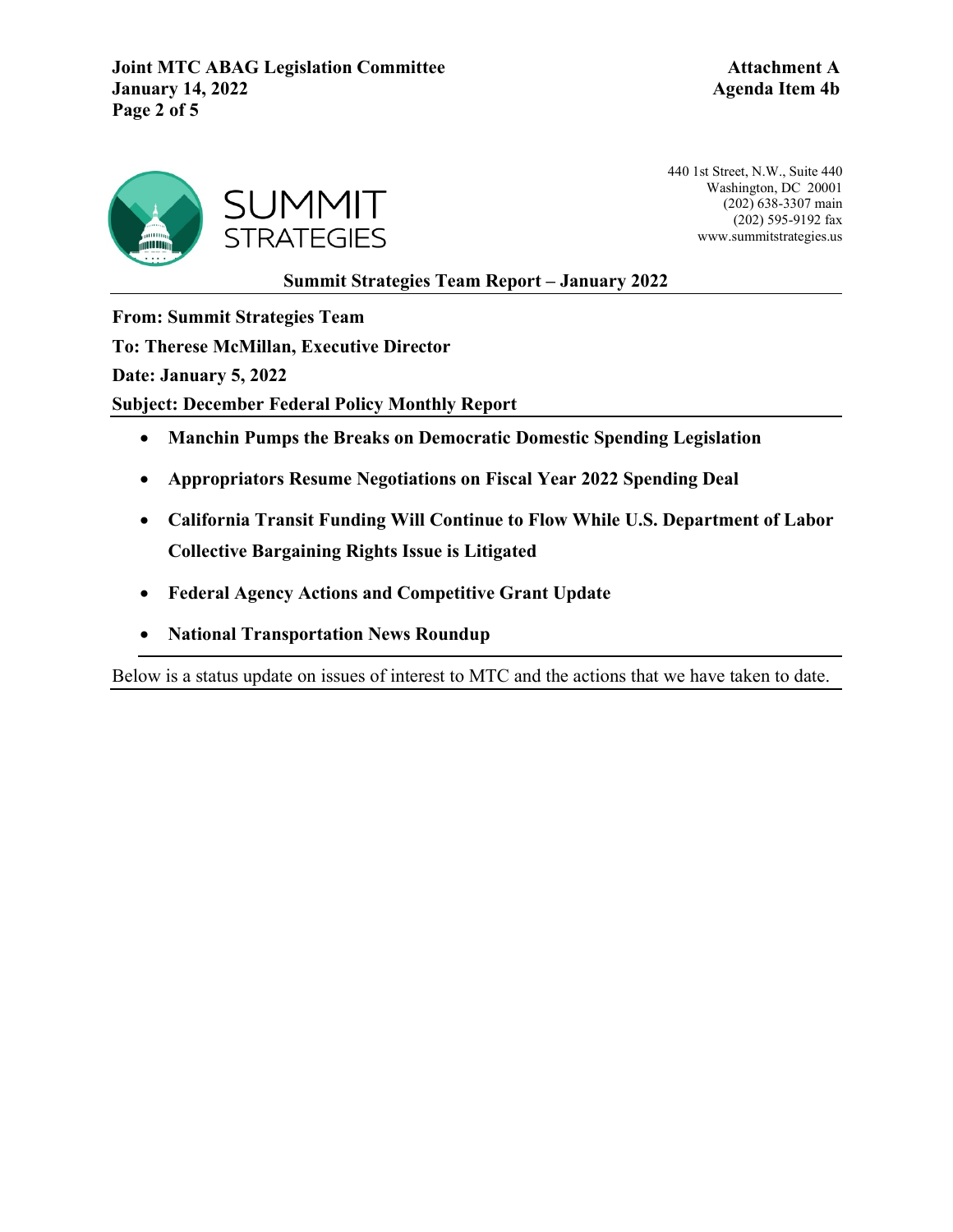**Joint MTC ABAG Legislation Committee <b>Attachment A January 14, 2022 Agenda Item 4b Page 2 of 5**



440 1st Street, N.W., Suite 440 Washington, DC 20001 (202) 638-3307 main (202) 595-9192 fax www.summitstrategies.us

**Summit Strategies Team Report – January 2022**

**From: Summit Strategies Team** 

**To: Therese McMillan, Executive Director** 

**Date: January 5, 2022**

**Subject: December Federal Policy Monthly Report** 

- **Manchin Pumps the Breaks on Democratic Domestic Spending Legislation**
- **Appropriators Resume Negotiations on Fiscal Year 2022 Spending Deal**
- **California Transit Funding Will Continue to Flow While U.S. Department of Labor Collective Bargaining Rights Issue is Litigated**
- **Federal Agency Actions and Competitive Grant Update**
- **National Transportation News Roundup**

Below is a status update on issues of interest to MTC and the actions that we have taken to date.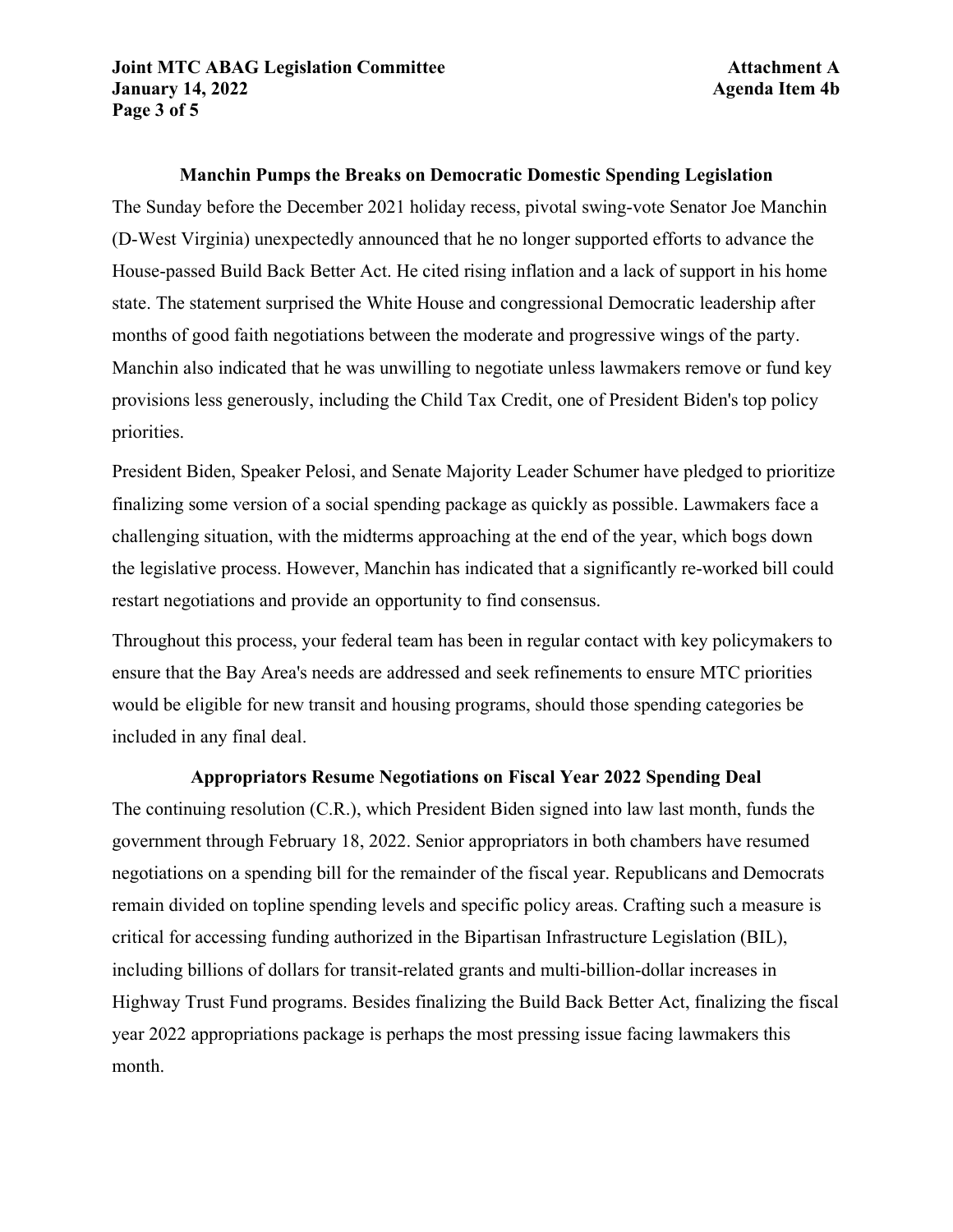### **Manchin Pumps the Breaks on Democratic Domestic Spending Legislation**

The Sunday before the December 2021 holiday recess, pivotal swing-vote Senator Joe Manchin (D-West Virginia) unexpectedly announced that he no longer supported efforts to advance the House-passed Build Back Better Act. He cited rising inflation and a lack of support in his home state. The statement surprised the White House and congressional Democratic leadership after months of good faith negotiations between the moderate and progressive wings of the party. Manchin also indicated that he was unwilling to negotiate unless lawmakers remove or fund key provisions less generously, including the Child Tax Credit, one of President Biden's top policy priorities.

President Biden, Speaker Pelosi, and Senate Majority Leader Schumer have pledged to prioritize finalizing some version of a social spending package as quickly as possible. Lawmakers face a challenging situation, with the midterms approaching at the end of the year, which bogs down the legislative process. However, Manchin has indicated that a significantly re-worked bill could restart negotiations and provide an opportunity to find consensus.

Throughout this process, your federal team has been in regular contact with key policymakers to ensure that the Bay Area's needs are addressed and seek refinements to ensure MTC priorities would be eligible for new transit and housing programs, should those spending categories be included in any final deal.

#### **Appropriators Resume Negotiations on Fiscal Year 2022 Spending Deal**

The continuing resolution (C.R.), which President Biden signed into law last month, funds the government through February 18, 2022. Senior appropriators in both chambers have resumed negotiations on a spending bill for the remainder of the fiscal year. Republicans and Democrats remain divided on topline spending levels and specific policy areas. Crafting such a measure is critical for accessing funding authorized in the Bipartisan Infrastructure Legislation (BIL), including billions of dollars for transit-related grants and multi-billion-dollar increases in Highway Trust Fund programs. Besides finalizing the Build Back Better Act, finalizing the fiscal year 2022 appropriations package is perhaps the most pressing issue facing lawmakers this month.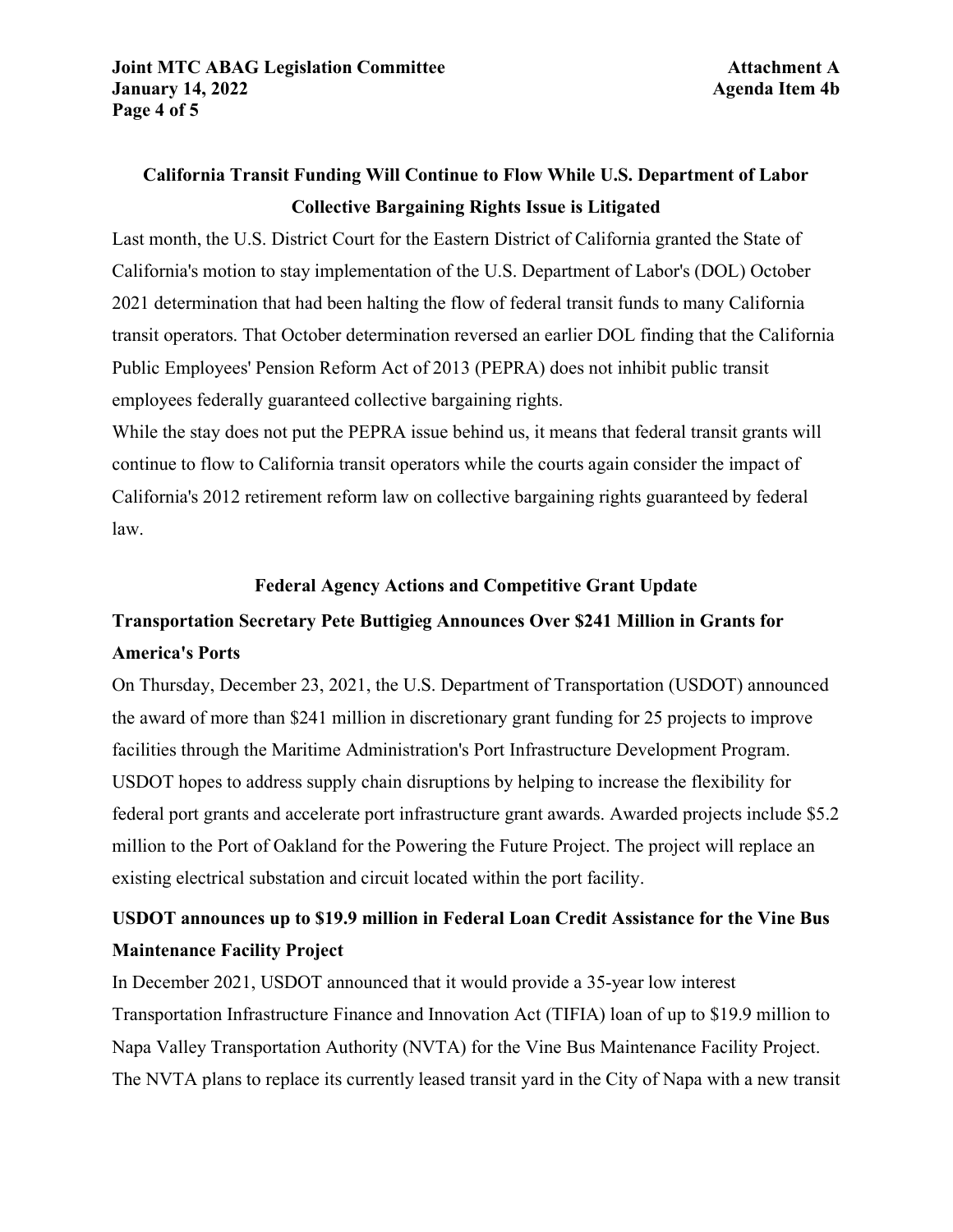## **California Transit Funding Will Continue to Flow While U.S. Department of Labor Collective Bargaining Rights Issue is Litigated**

Last month, the U.S. District Court for the Eastern District of California granted the State of California's motion to stay implementation of the U.S. Department of Labor's (DOL) October 2021 determination that had been halting the flow of federal transit funds to many California transit operators. That October determination reversed an earlier DOL finding that the California Public Employees' Pension Reform Act of 2013 (PEPRA) does not inhibit public transit employees federally guaranteed collective bargaining rights.

While the stay does not put the PEPRA issue behind us, it means that federal transit grants will continue to flow to California transit operators while the courts again consider the impact of California's 2012 retirement reform law on collective bargaining rights guaranteed by federal law.

### **Federal Agency Actions and Competitive Grant Update**

## **Transportation Secretary Pete Buttigieg Announces Over \$241 Million in Grants for America's Ports**

On Thursday, December 23, 2021, the U.S. Department of Transportation (USDOT) announced the award of more than \$241 million in discretionary grant funding for 25 projects to improve facilities through the Maritime Administration's Port Infrastructure Development Program. USDOT hopes to address supply chain disruptions by helping to increase the flexibility for federal port grants and accelerate port infrastructure grant awards. Awarded projects include \$5.2 million to the Port of Oakland for the Powering the Future Project. The project will replace an existing electrical substation and circuit located within the port facility.

## **USDOT announces up to \$19.9 million in Federal Loan Credit Assistance for the Vine Bus Maintenance Facility Project**

In December 2021, USDOT announced that it would provide a 35-year low interest Transportation Infrastructure Finance and Innovation Act (TIFIA) loan of up to \$19.9 million to Napa Valley Transportation Authority (NVTA) for the Vine Bus Maintenance Facility Project. The NVTA plans to replace its currently leased transit yard in the City of Napa with a new transit